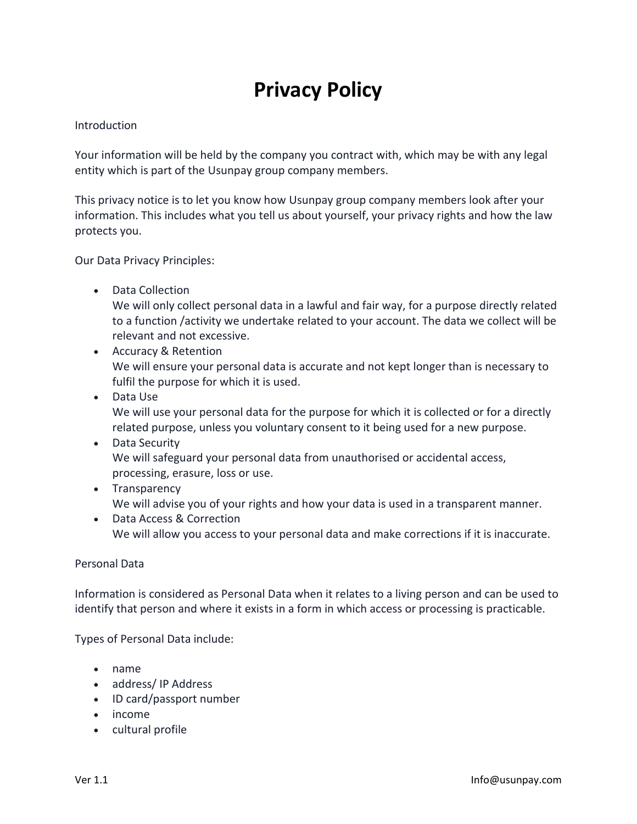# **Privacy Policy**

#### Introduction

Your information will be held by the company you contract with, which may be with any legal entity which is part of the Usunpay group company members.

This privacy notice is to let you know how Usunpay group company members look after your information. This includes what you tell us about yourself, your privacy rights and how the law protects you.

Our Data Privacy Principles:

• Data Collection

We will only collect personal data in a lawful and fair way, for a purpose directly related to a function /activity we undertake related to your account. The data we collect will be relevant and not excessive.

- Accuracy & Retention We will ensure your personal data is accurate and not kept longer than is necessary to fulfil the purpose for which it is used.
- Data Use We will use your personal data for the purpose for which it is collected or for a directly related purpose, unless you voluntary consent to it being used for a new purpose.
- Data Security We will safeguard your personal data from unauthorised or accidental access, processing, erasure, loss or use.
- Transparency We will advise you of your rights and how your data is used in a transparent manner.
- Data Access & Correction We will allow you access to your personal data and make corrections if it is inaccurate.

#### Personal Data

Information is considered as Personal Data when it relates to a living person and can be used to identify that person and where it exists in a form in which access or processing is practicable.

Types of Personal Data include:

- name
- address/ IP Address
- ID card/passport number
- income
- cultural profile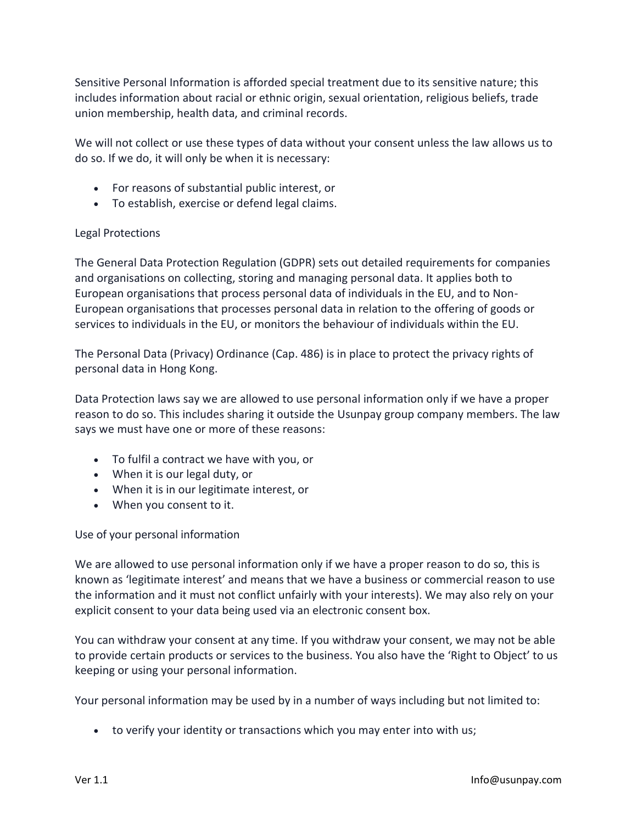Sensitive Personal Information is afforded special treatment due to its sensitive nature; this includes information about racial or ethnic origin, sexual orientation, religious beliefs, trade union membership, health data, and criminal records.

We will not collect or use these types of data without your consent unless the law allows us to do so. If we do, it will only be when it is necessary:

- For reasons of substantial public interest, or
- To establish, exercise or defend legal claims.

## Legal Protections

The General Data Protection Regulation (GDPR) sets out detailed requirements for companies and organisations on collecting, storing and managing personal data. It applies both to European organisations that process personal data of individuals in the EU, and to Non-European organisations that processes personal data in relation to the offering of goods or services to individuals in the EU, or monitors the behaviour of individuals within the EU.

The Personal Data (Privacy) Ordinance (Cap. 486) is in place to protect the privacy rights of personal data in Hong Kong.

Data Protection laws say we are allowed to use personal information only if we have a proper reason to do so. This includes sharing it outside the Usunpay group company members. The law says we must have one or more of these reasons:

- To fulfil a contract we have with you, or
- When it is our legal duty, or
- When it is in our legitimate interest, or
- When you consent to it.

Use of your personal information

We are allowed to use personal information only if we have a proper reason to do so, this is known as 'legitimate interest' and means that we have a business or commercial reason to use the information and it must not conflict unfairly with your interests). We may also rely on your explicit consent to your data being used via an electronic consent box.

You can withdraw your consent at any time. If you withdraw your consent, we may not be able to provide certain products or services to the business. You also have the 'Right to Object' to us keeping or using your personal information.

Your personal information may be used by in a number of ways including but not limited to:

• to verify your identity or transactions which you may enter into with us;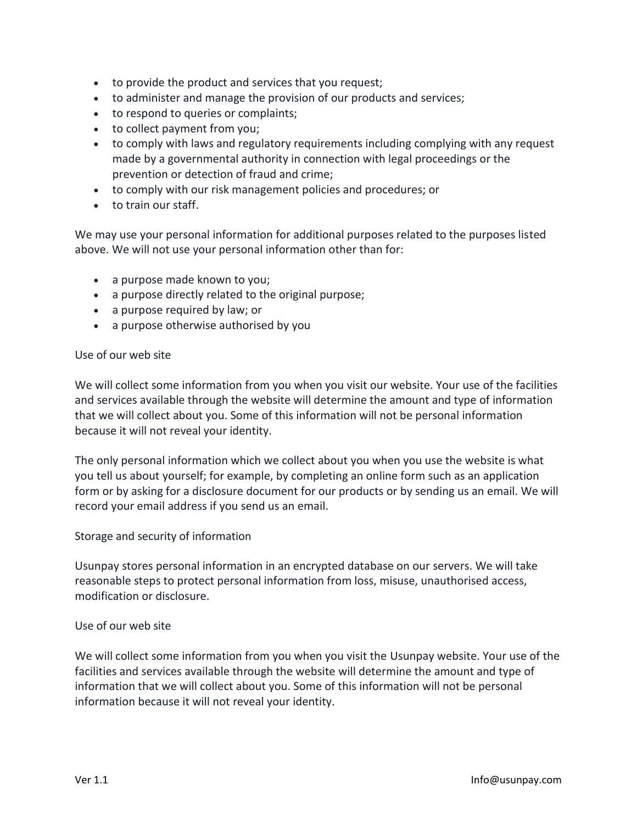- to provide the product and services that you request;
- to administer and manage the provision of our products and services;
- to respond to queries or complaints;
- to collect payment from you;
- to comply with laws and regulatory requirements including complying with any request made by a governmental authority in connection with legal proceedings or the prevention or detection of fraud and crime;
- to comply with our risk management policies and procedures; or
- to train our staff.

We may use your personal information for additional purposes related to the purposes listed above. We will not use your personal information other than for:

- a purpose made known to you;
- a purpose directly related to the original purpose;
- a purpose required by law; or
- a purpose otherwise authorised by you

#### Use of our web site

We will collect some information from you when you visit our website. Your use of the facilities and services available through the website will determine the amount and type of information that we will collect about you. Some of this information will not be personal information because it will not reveal your identity.

The only personal information which we collect about you when you use the website is what you tell us about yourself; for example, by completing an online form such as an application form or by asking for a disclosure document for our products or by sending us an email. We will record your email address if you send us an email.

#### Storage and security of information

Usunpay stores personal information in an encrypted database on our servers. We will take reasonable steps to protect personal information from loss, misuse, unauthorised access, modification or disclosure.

#### Use of our web site

We will collect some information from you when you visit the Usunpay website. Your use of the facilities and services available through the website will determine the amount and type of information that we will collect about you. Some of this information will not be personal information because it will not reveal your identity.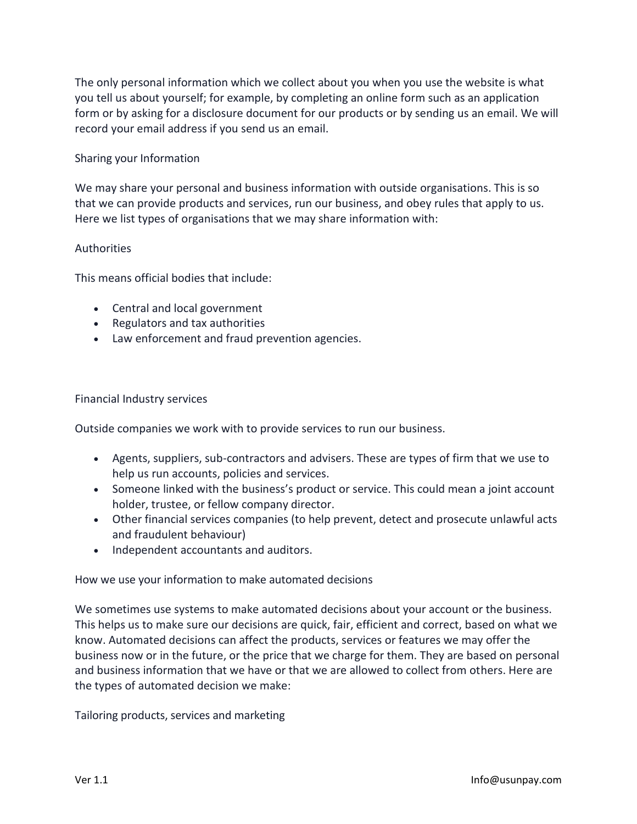The only personal information which we collect about you when you use the website is what you tell us about yourself; for example, by completing an online form such as an application form or by asking for a disclosure document for our products or by sending us an email. We will record your email address if you send us an email.

### Sharing your Information

We may share your personal and business information with outside organisations. This is so that we can provide products and services, run our business, and obey rules that apply to us. Here we list types of organisations that we may share information with:

## **Authorities**

This means official bodies that include:

- Central and local government
- Regulators and tax authorities
- Law enforcement and fraud prevention agencies.

#### Financial Industry services

Outside companies we work with to provide services to run our business.

- Agents, suppliers, sub-contractors and advisers. These are types of firm that we use to help us run accounts, policies and services.
- Someone linked with the business's product or service. This could mean a joint account holder, trustee, or fellow company director.
- Other financial services companies (to help prevent, detect and prosecute unlawful acts and fraudulent behaviour)
- Independent accountants and auditors.

How we use your information to make automated decisions

We sometimes use systems to make automated decisions about your account or the business. This helps us to make sure our decisions are quick, fair, efficient and correct, based on what we know. Automated decisions can affect the products, services or features we may offer the business now or in the future, or the price that we charge for them. They are based on personal and business information that we have or that we are allowed to collect from others. Here are the types of automated decision we make:

Tailoring products, services and marketing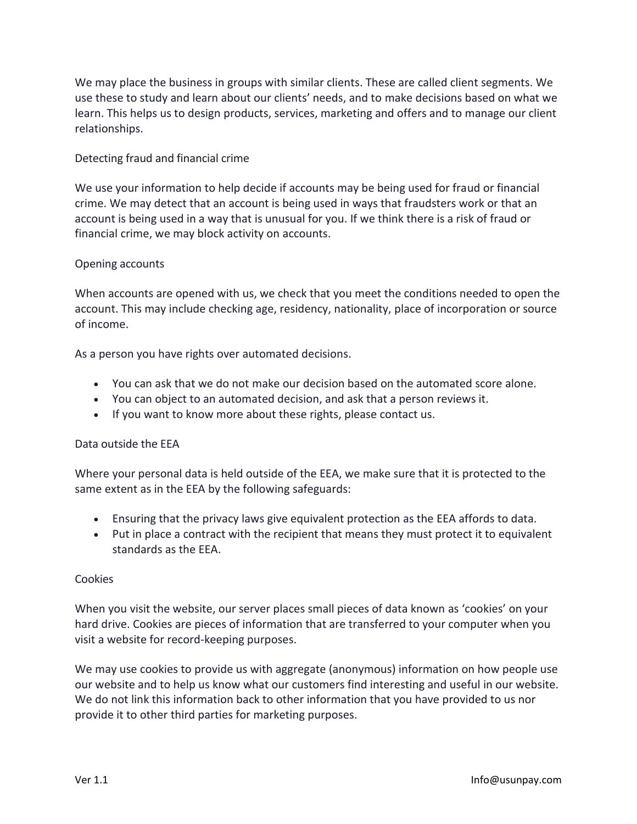We may place the business in groups with similar clients. These are called client segments. We use these to study and learn about our clients' needs, and to make decisions based on what we learn. This helps us to design products, services, marketing and offers and to manage our client relationships.

## Detecting fraud and financial crime

We use your information to help decide if accounts may be being used for fraud or financial crime. We may detect that an account is being used in ways that fraudsters work or that an account is being used in a way that is unusual for you. If we think there is a risk of fraud or financial crime, we may block activity on accounts.

#### Opening accounts

When accounts are opened with us, we check that you meet the conditions needed to open the account. This may include checking age, residency, nationality, place of incorporation or source of income.

As a person you have rights over automated decisions.

- You can ask that we do not make our decision based on the automated score alone.
- You can object to an automated decision, and ask that a person reviews it.
- If you want to know more about these rights, please contact us.

#### Data outside the EEA

Where your personal data is held outside of the EEA, we make sure that it is protected to the same extent as in the EEA by the following safeguards:

- Ensuring that the privacy laws give equivalent protection as the EEA affords to data.
- Put in place a contract with the recipient that means they must protect it to equivalent standards as the EEA.

#### Cookies

When you visit the website, our server places small pieces of data known as 'cookies' on your hard drive. Cookies are pieces of information that are transferred to your computer when you visit a website for record-keeping purposes.

We may use cookies to provide us with aggregate (anonymous) information on how people use our website and to help us know what our customers find interesting and useful in our website. We do not link this information back to other information that you have provided to us nor provide it to other third parties for marketing purposes.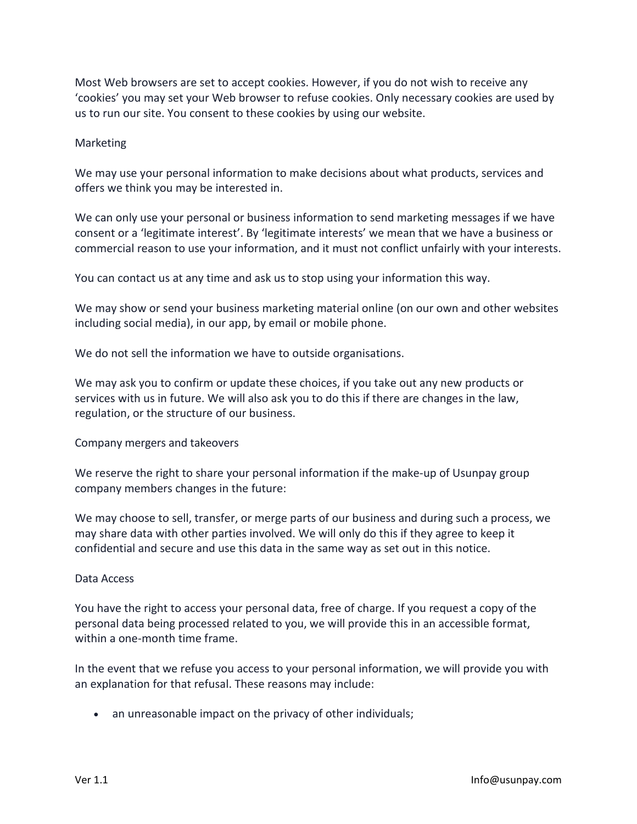Most Web browsers are set to accept cookies. However, if you do not wish to receive any 'cookies' you may set your Web browser to refuse cookies. Only necessary cookies are used by us to run our site. You consent to these cookies by using our website.

#### Marketing

We may use your personal information to make decisions about what products, services and offers we think you may be interested in.

We can only use your personal or business information to send marketing messages if we have consent or a 'legitimate interest'. By 'legitimate interests' we mean that we have a business or commercial reason to use your information, and it must not conflict unfairly with your interests.

You can contact us at any time and ask us to stop using your information this way.

We may show or send your business marketing material online (on our own and other websites including social media), in our app, by email or mobile phone.

We do not sell the information we have to outside organisations.

We may ask you to confirm or update these choices, if you take out any new products or services with us in future. We will also ask you to do this if there are changes in the law, regulation, or the structure of our business.

Company mergers and takeovers

We reserve the right to share your personal information if the make-up of Usunpay group company members changes in the future:

We may choose to sell, transfer, or merge parts of our business and during such a process, we may share data with other parties involved. We will only do this if they agree to keep it confidential and secure and use this data in the same way as set out in this notice.

#### Data Access

You have the right to access your personal data, free of charge. If you request a copy of the personal data being processed related to you, we will provide this in an accessible format, within a one-month time frame.

In the event that we refuse you access to your personal information, we will provide you with an explanation for that refusal. These reasons may include:

• an unreasonable impact on the privacy of other individuals;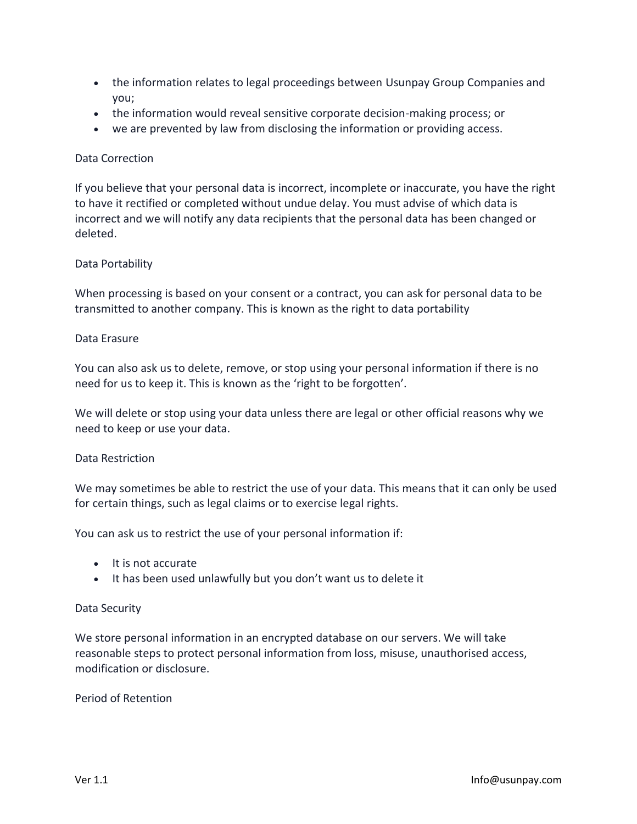- the information relates to legal proceedings between Usunpay Group Companies and you;
- the information would reveal sensitive corporate decision-making process; or
- we are prevented by law from disclosing the information or providing access.

### Data Correction

If you believe that your personal data is incorrect, incomplete or inaccurate, you have the right to have it rectified or completed without undue delay. You must advise of which data is incorrect and we will notify any data recipients that the personal data has been changed or deleted.

## Data Portability

When processing is based on your consent or a contract, you can ask for personal data to be transmitted to another company. This is known as the right to data portability

#### Data Erasure

You can also ask us to delete, remove, or stop using your personal information if there is no need for us to keep it. This is known as the 'right to be forgotten'.

We will delete or stop using your data unless there are legal or other official reasons why we need to keep or use your data.

#### Data Restriction

We may sometimes be able to restrict the use of your data. This means that it can only be used for certain things, such as legal claims or to exercise legal rights.

You can ask us to restrict the use of your personal information if:

- It is not accurate
- It has been used unlawfully but you don't want us to delete it

#### Data Security

We store personal information in an encrypted database on our servers. We will take reasonable steps to protect personal information from loss, misuse, unauthorised access, modification or disclosure.

#### Period of Retention